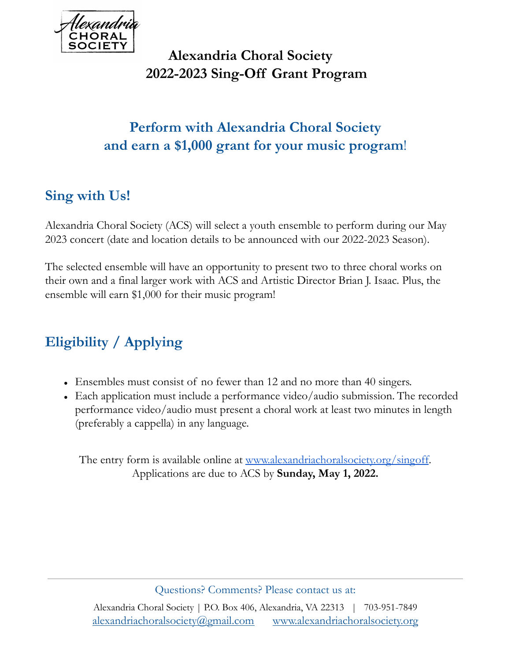

## **Alexandria Choral Society 2022-2023 Sing-Off Grant Program**

## **Perform with Alexandria Choral Society and earn a \$1,000 grant for your music program**!

## **Sing with Us!**

Alexandria Choral Society (ACS) will select a youth ensemble to perform during our May 2023 concert (date and location details to be announced with our 2022-2023 Season).

The selected ensemble will have an opportunity to present two to three choral works on their own and a final larger work with ACS and Artistic Director Brian J. Isaac. Plus, the ensemble will earn \$1,000 for their music program!

# **Eligibility / Applying**

- Ensembles must consist of no fewer than 12 and no more than 40 singers.
- Each application must include a performance video/audio submission. The recorded performance video/audio must present a choral work at least two minutes in length (preferably a cappella) in any language.

The entry form is available online at <u>www.alexandriachoralsociety.org/singoff</u>. Applications are due to ACS by **Sunday, May 1, 2022.**

Questions? Comments? Please contact us at: